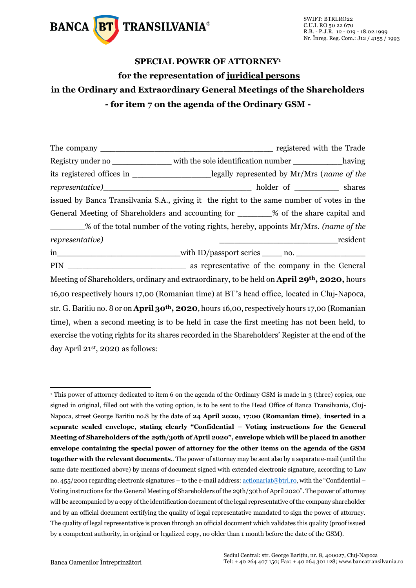

## **SPECIAL POWER OF ATTORNEY<sup>1</sup> for the representation of juridical persons in the Ordinary and Extraordinary General Meetings of the Shareholders - for item 7 on the agenda of the Ordinary GSM -**

The company \_\_\_\_\_\_\_\_\_\_\_\_\_\_\_\_\_\_\_\_\_\_\_\_\_\_\_\_\_\_\_\_\_\_\_ registered with the Trade Registry under no \_\_\_\_\_\_\_\_\_\_\_\_\_\_ with the sole identification number \_\_\_\_\_\_\_\_\_\_\_having its registered offices in \_\_\_\_\_\_\_\_\_\_\_\_\_\_\_\_legally represented by Mr/Mrs (*name of the representative*) and the holder of shares issued by Banca Transilvania S.A., giving it the right to the same number of votes in the General Meeting of Shareholders and accounting for  $\%$  of the share capital and \_\_\_\_\_\_\_% of the total number of the voting rights, hereby, appoints Mr/Mrs. *(name of the representative)* \_\_\_\_\_\_\_\_\_\_\_\_\_\_\_\_\_\_\_\_\_\_\_\_resident in\_\_\_\_\_\_\_\_\_\_\_\_\_\_\_\_\_\_\_\_\_\_\_\_\_\_\_\_with ID/passport series \_\_\_\_\_ no. \_\_\_\_\_\_\_\_\_\_\_\_\_\_\_\_\_ PIN \_\_\_\_\_\_\_\_\_\_\_\_\_\_\_\_\_\_\_\_\_\_\_\_ as representative of the company in the General Meeting of Shareholders, ordinary and extraordinary, to be held on **April 29th, 2020,** hours 16,00 respectively hours 17,00 (Romanian time) at BT's head office, located in Cluj-Napoca, str. G. Baritiu no. 8 or on **April 30th, 2020**, hours 16,00, respectively hours 17,00 (Romanian time), when a second meeting is to be held in case the first meeting has not been held, to exercise the voting rights for its shares recorded in the Shareholders' Register at the end of the day April 21st, 2020 as follows:

-

<sup>&</sup>lt;sup>1</sup> This power of attorney dedicated to item 6 on the agenda of the Ordinary GSM is made in 3 (three) copies, one signed in original, filled out with the voting option, is to be sent to the Head Office of Banca Transilvania, Cluj-Napoca, street George Baritiu no.8 by the date of **24 April 2020, 17:00 (Romanian time)**, **inserted in a separate sealed envelope, stating clearly "Confidential – Voting instructions for the General Meeting of Shareholders of the 29th/30th of April 2020", envelope which will be placed in another envelope containing the special power of attorney for the other items on the agenda of the GSM together with the relevant documents**.. The power of attorney may be sent also by a separate e-mail (until the same date mentioned above) by means of document signed with extended electronic signature, according to Law no. 455/2001 regarding electronic signatures – to the e-mail address[: actionariat@btrl.ro,](mailto:actionariat@btrl.ro) with the "Confidential – Voting instructions for the General Meeting of Shareholders of the 29th/30th of April 2020". The power of attorney will be accompanied by a copy of the identification document of the legal representative of the company shareholder and by an official document certifying the quality of legal representative mandated to sign the power of attorney. The quality of legal representative is proven through an official document which validates this quality (proof issued by a competent authority, in original or legalized copy, no older than 1 month before the date of the GSM).